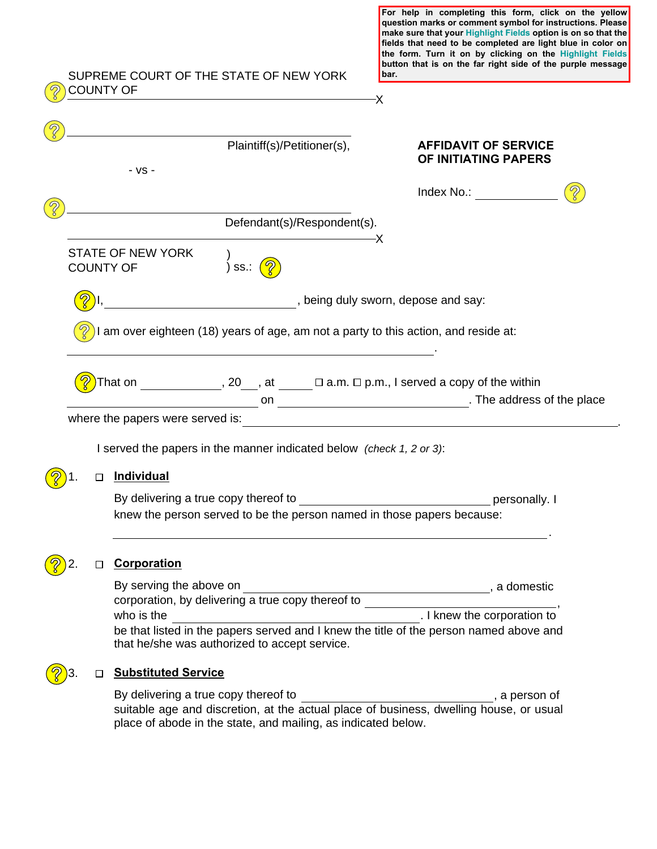|  | SUPREME COURT OF THE STATE OF NEW YORK<br><b>COUNTY OF</b>                                                                              | question marks or comment symbol for instructions. Please<br>make sure that your Highlight Fields option is on so that the<br>fields that need to be completed are light blue in color on<br>the form. Turn it on by clicking on the Highlight Fields<br>button that is on the far right side of the purple message<br>bar.<br>-X |  |
|--|-----------------------------------------------------------------------------------------------------------------------------------------|-----------------------------------------------------------------------------------------------------------------------------------------------------------------------------------------------------------------------------------------------------------------------------------------------------------------------------------|--|
|  |                                                                                                                                         |                                                                                                                                                                                                                                                                                                                                   |  |
|  | Plaintiff(s)/Petitioner(s),<br>$-VS -$                                                                                                  | <b>AFFIDAVIT OF SERVICE</b><br>OF INITIATING PAPERS                                                                                                                                                                                                                                                                               |  |
|  |                                                                                                                                         | Index No.: The control of the control of the control of the control of the control of the control of the control of the control of the control of the control of the control of the control of the control of the control of t                                                                                                    |  |
|  | Defendant(s)/Respondent(s).                                                                                                             |                                                                                                                                                                                                                                                                                                                                   |  |
|  | <b>STATE OF NEW YORK</b><br>) ss.: $\sqrt{\mathcal{D}}$<br><b>COUNTY OF</b>                                                             | –Х                                                                                                                                                                                                                                                                                                                                |  |
|  | , being duly sworn, depose and say:                                                                                                     |                                                                                                                                                                                                                                                                                                                                   |  |
|  | I am over eighteen (18) years of age, am not a party to this action, and reside at:                                                     |                                                                                                                                                                                                                                                                                                                                   |  |
|  | )That on _____________, 20___, at ______ $\Box$ a.m. $\Box$ p.m., I served a copy of the within                                         |                                                                                                                                                                                                                                                                                                                                   |  |
|  | I served the papers in the manner indicated below (check 1, 2 or 3):                                                                    |                                                                                                                                                                                                                                                                                                                                   |  |
|  | <b>Individual</b>                                                                                                                       |                                                                                                                                                                                                                                                                                                                                   |  |
|  | By delivering a true copy thereof to<br>knew the person served to be the person named in those papers because:                          | personally. I                                                                                                                                                                                                                                                                                                                     |  |
|  | Corporation                                                                                                                             |                                                                                                                                                                                                                                                                                                                                   |  |
|  | By serving the above on<br>corporation, by delivering a true copy thereof to<br>who is the                                              | , a domestic<br>. I knew the corporation to                                                                                                                                                                                                                                                                                       |  |
|  | be that listed in the papers served and I knew the title of the person named above and<br>that he/she was authorized to accept service. |                                                                                                                                                                                                                                                                                                                                   |  |
|  | <b>Substituted Service</b>                                                                                                              |                                                                                                                                                                                                                                                                                                                                   |  |

**For help in completing this form, click on the yellow** 

By delivering a true copy thereof to **Example 20** a person of suitable age and discretion, at the actual place of business, dwelling house, or usual place of abode in the state, and mailing, as indicated below.